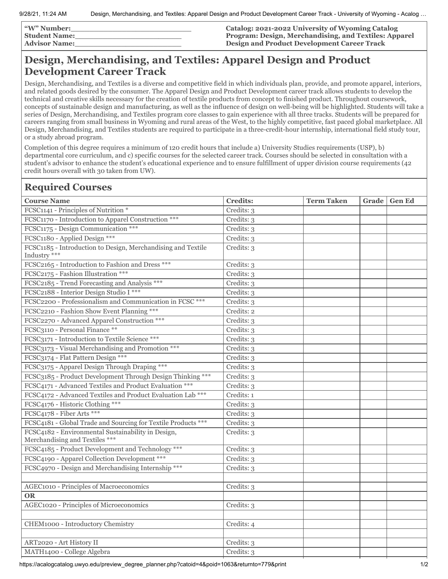| <b><i>W</i></b> " Number: | Catalog: 2021-2022 University of Wyoming Catalog      |
|---------------------------|-------------------------------------------------------|
| <b>Student Name:</b>      | Program: Design, Merchandising, and Textiles: Apparel |
| <b>Advisor Name:</b>      | <b>Design and Product Development Career Track</b>    |

## **Design, Merchandising, and Textiles: Apparel Design and Product Development Career Track**

Design, Merchandising, and Textiles is a diverse and competitive field in which individuals plan, provide, and promote apparel, interiors, and related goods desired by the consumer. The Apparel Design and Product Development career track allows students to develop the technical and creative skills necessary for the creation of textile products from concept to finished product. Throughout coursework, concepts of sustainable design and manufacturing, as well as the influence of design on well-being will be highlighted. Students will take a series of Design, Merchandising, and Textiles program core classes to gain experience with all three tracks. Students will be prepared for careers ranging from small business in Wyoming and rural areas of the West, to the highly competitive, fast paced global marketplace. All Design, Merchandising, and Textiles students are required to participate in a three-credit-hour internship, international field study tour, or a study abroad program.

Completion of this degree requires a minimum of 120 credit hours that include a) University Studies requirements (USP), b) departmental core curriculum, and c) specific courses for the selected career track. Courses should be selected in consultation with a student's advisor to enhance the student's educational experience and to ensure fulfillment of upper division course requirements (42 credit hours overall with 30 taken from UW).

## **Required Courses**

| <b>Course Name</b>                                                                   | <b>Credits:</b> | <b>Term Taken</b> | Grade | <b>Gen Ed</b> |
|--------------------------------------------------------------------------------------|-----------------|-------------------|-------|---------------|
| FCSC1141 - Principles of Nutrition *                                                 | Credits: 3      |                   |       |               |
| FCSC1170 - Introduction to Apparel Construction ***                                  | Credits: 3      |                   |       |               |
| FCSC1175 - Design Communication ***                                                  | Credits: 3      |                   |       |               |
| FCSC1180 - Applied Design ***                                                        | Credits: 3      |                   |       |               |
| FCSC1185 - Introduction to Design, Merchandising and Textile<br>Industry ***         | Credits: 3      |                   |       |               |
| FCSC2165 - Introduction to Fashion and Dress ***                                     | Credits: 3      |                   |       |               |
| FCSC2175 - Fashion Illustration ***                                                  | Credits: 3      |                   |       |               |
| FCSC2185 - Trend Forecasting and Analysis ***                                        | Credits: 3      |                   |       |               |
| FCSC2188 - Interior Design Studio I ***                                              | Credits: 3      |                   |       |               |
| FCSC2200 - Professionalism and Communication in FCSC ***                             | Credits: 3      |                   |       |               |
| FCSC2210 - Fashion Show Event Planning ***                                           | Credits: 2      |                   |       |               |
| FCSC2270 - Advanced Apparel Construction ***                                         | Credits: 3      |                   |       |               |
| FCSC3110 - Personal Finance **                                                       | Credits: 3      |                   |       |               |
| FCSC3171 - Introduction to Textile Science ***                                       | Credits: 3      |                   |       |               |
| FCSC3173 - Visual Merchandising and Promotion ***                                    | Credits: 3      |                   |       |               |
| FCSC3174 - Flat Pattern Design ***                                                   | Credits: 3      |                   |       |               |
| FCSC3175 - Apparel Design Through Draping ***                                        | Credits: 3      |                   |       |               |
| FCSC3185 - Product Development Through Design Thinking ***                           | Credits: 3      |                   |       |               |
| FCSC4171 - Advanced Textiles and Product Evaluation ***                              | Credits: 3      |                   |       |               |
| FCSC4172 - Advanced Textiles and Product Evaluation Lab ***                          | Credits: 1      |                   |       |               |
| FCSC4176 - Historic Clothing ***                                                     | Credits: 3      |                   |       |               |
| FCSC4178 - Fiber Arts ***                                                            | Credits: 3      |                   |       |               |
| FCSC4181 - Global Trade and Sourcing for Textile Products ***                        | Credits: 3      |                   |       |               |
| FCSC4182 - Environmental Sustainability in Design,<br>Merchandising and Textiles *** | Credits: 3      |                   |       |               |
| FCSC4185 - Product Development and Technology ***                                    | Credits: 3      |                   |       |               |
| FCSC4190 - Apparel Collection Development ***                                        | Credits: 3      |                   |       |               |
| FCSC4970 - Design and Merchandising Internship ***                                   | Credits: 3      |                   |       |               |
|                                                                                      |                 |                   |       |               |
| AGEC1010 - Principles of Macroeconomics                                              | Credits: 3      |                   |       |               |
| <b>OR</b>                                                                            |                 |                   |       |               |
| AGEC1020 - Principles of Microeconomics                                              | Credits: 3      |                   |       |               |
|                                                                                      |                 |                   |       |               |
| CHEM1000 - Introductory Chemistry                                                    | Credits: 4      |                   |       |               |
|                                                                                      |                 |                   |       |               |
| ART2020 - Art History II                                                             | Credits: 3      |                   |       |               |
| MATH1400 - College Algebra                                                           | Credits: 3      |                   |       |               |